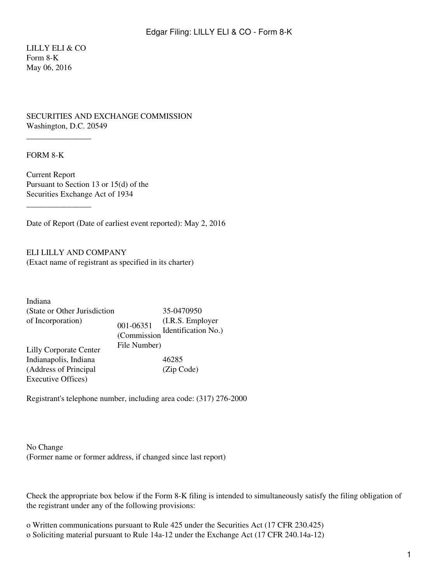LILLY ELI & CO Form 8-K May 06, 2016

## SECURITIES AND EXCHANGE COMMISSION Washington, D.C. 20549

## FORM 8-K

\_\_\_\_\_\_\_\_\_\_\_\_\_\_\_\_

 $\overline{\phantom{a}}$  , where  $\overline{\phantom{a}}$ 

Current Report Pursuant to Section 13 or 15(d) of the Securities Exchange Act of 1934

Date of Report (Date of earliest event reported): May 2, 2016

ELI LILLY AND COMPANY (Exact name of registrant as specified in its charter)

| Indiana                       |                          |                                         |
|-------------------------------|--------------------------|-----------------------------------------|
| (State or Other Jurisdiction) |                          | 35-0470950                              |
| of Incorporation)             | 001-06351<br>(Commission | (I.R.S. Employer<br>Identification No.) |
| <b>Lilly Corporate Center</b> | File Number)             |                                         |
| Indianapolis, Indiana         |                          | 46285                                   |
| (Address of Principal         |                          | (Zip Code)                              |
| Executive Offices)            |                          |                                         |

Registrant's telephone number, including area code: (317) 276-2000

No Change (Former name or former address, if changed since last report)

Check the appropriate box below if the Form 8-K filing is intended to simultaneously satisfy the filing obligation of the registrant under any of the following provisions:

o Written communications pursuant to Rule 425 under the Securities Act (17 CFR 230.425) o Soliciting material pursuant to Rule 14a-12 under the Exchange Act (17 CFR 240.14a-12)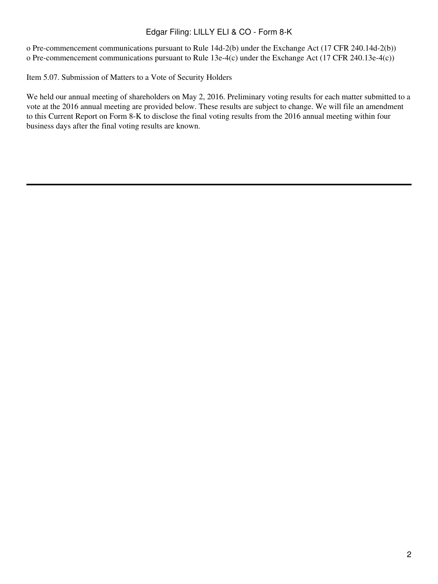## Edgar Filing: LILLY ELI & CO - Form 8-K

o Pre-commencement communications pursuant to Rule 14d-2(b) under the Exchange Act (17 CFR 240.14d-2(b)) o Pre-commencement communications pursuant to Rule 13e-4(c) under the Exchange Act (17 CFR 240.13e-4(c))

Item 5.07. Submission of Matters to a Vote of Security Holders

We held our annual meeting of shareholders on May 2, 2016. Preliminary voting results for each matter submitted to a vote at the 2016 annual meeting are provided below. These results are subject to change. We will file an amendment to this Current Report on Form 8-K to disclose the final voting results from the 2016 annual meeting within four business days after the final voting results are known.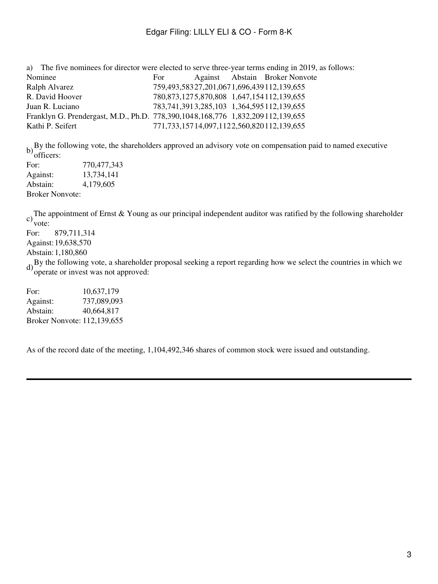| For |  |                                                                                                                                                                                                                                                                                                                                                                                                                                 |
|-----|--|---------------------------------------------------------------------------------------------------------------------------------------------------------------------------------------------------------------------------------------------------------------------------------------------------------------------------------------------------------------------------------------------------------------------------------|
|     |  |                                                                                                                                                                                                                                                                                                                                                                                                                                 |
|     |  |                                                                                                                                                                                                                                                                                                                                                                                                                                 |
|     |  |                                                                                                                                                                                                                                                                                                                                                                                                                                 |
|     |  |                                                                                                                                                                                                                                                                                                                                                                                                                                 |
|     |  |                                                                                                                                                                                                                                                                                                                                                                                                                                 |
|     |  | a) The five nominees for director were elected to serve three-year terms ending in 2019, as follows:<br>Against Abstain Broker Nonvote<br>759,493,58327,201,0671,696,439112,139,655<br>780, 873, 1275, 870, 808 1, 647, 154 112, 139, 655<br>783,741,3913,285,103 1,364,595112,139,655<br>Franklyn G. Prendergast, M.D., Ph.D. 778,390,1048,168,776 1,832,209112,139,655<br>771, 733, 157 14, 097, 1122, 560, 820 112, 139, 655 |

b) By the following vote, the shareholders approved an advisory vote on compensation paid to named executive officers:

| ,,,,,,,,,,,            |             |
|------------------------|-------------|
| For:                   | 770,477,343 |
| Against:               | 13,734,141  |
| Abstain:               | 4,179,605   |
| <b>Broker Nonvote:</b> |             |

c) The appointment of Ernst & Young as our principal independent auditor was ratified by the following shareholder vote:

For: 879,711,314

Against:19,638,570

Abstain:1,180,860

d)By the following vote, a shareholder proposal seeking a report regarding how we select the countries in which we operate or invest was not approved:

For: 10,637,179 Against: 737,089,093 Abstain: 40,664,817 Broker Nonvote: 112,139,655

As of the record date of the meeting, 1,104,492,346 shares of common stock were issued and outstanding.